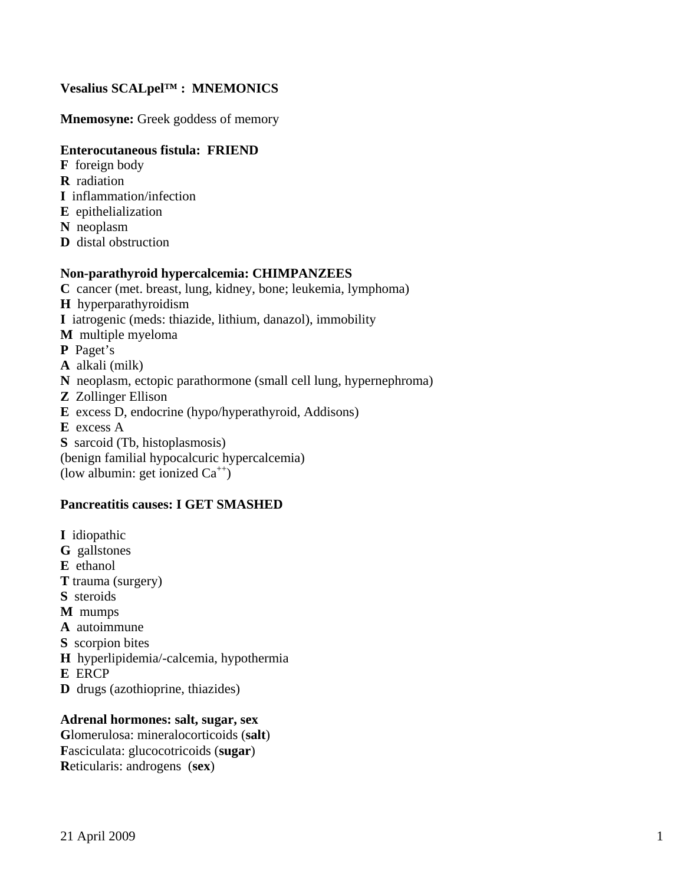## **Vesalius SCALpel™ : MNEMONICS**

**Mnemosyne:** Greek goddess of memory

## **Enterocutaneous fistula: FRIEND**

- **F** foreign body
- **R** radiation
- **I** inflammation/infection
- **E** epithelialization
- **N** neoplasm
- **D** distal obstruction

#### **Non-parathyroid hypercalcemia: CHIMPANZEES**

- **C** cancer (met. breast, lung, kidney, bone; leukemia, lymphoma)
- **H** hyperparathyroidism
- **I** iatrogenic (meds: thiazide, lithium, danazol), immobility
- **M** multiple myeloma
- **P** Paget's
- **A** alkali (milk)
- **N** neoplasm, ectopic parathormone (small cell lung, hypernephroma)
- **Z** Zollinger Ellison
- **E** excess D, endocrine (hypo/hyperathyroid, Addisons)
- **E** excess A
- **S** sarcoid (Tb, histoplasmosis)
- (benign familial hypocalcuric hypercalcemia)
- (low albumin: get ionized  $Ca^{++}$ )

### **Pancreatitis causes: I GET SMASHED**

**I** idiopathic **G** gallstones **E** ethanol **T** trauma (surgery) **S** steroids **M** mumps **A** autoimmune **S** scorpion bites **H** hyperlipidemia/-calcemia, hypothermia **E** ERCP **D** drugs (azothioprine, thiazides)

#### **Adrenal hormones: salt, sugar, sex**

**G**lomerulosa: mineralocorticoids (**salt**) **F**asciculata: glucocotricoids (**sugar**) **R**eticularis: androgens (**sex**)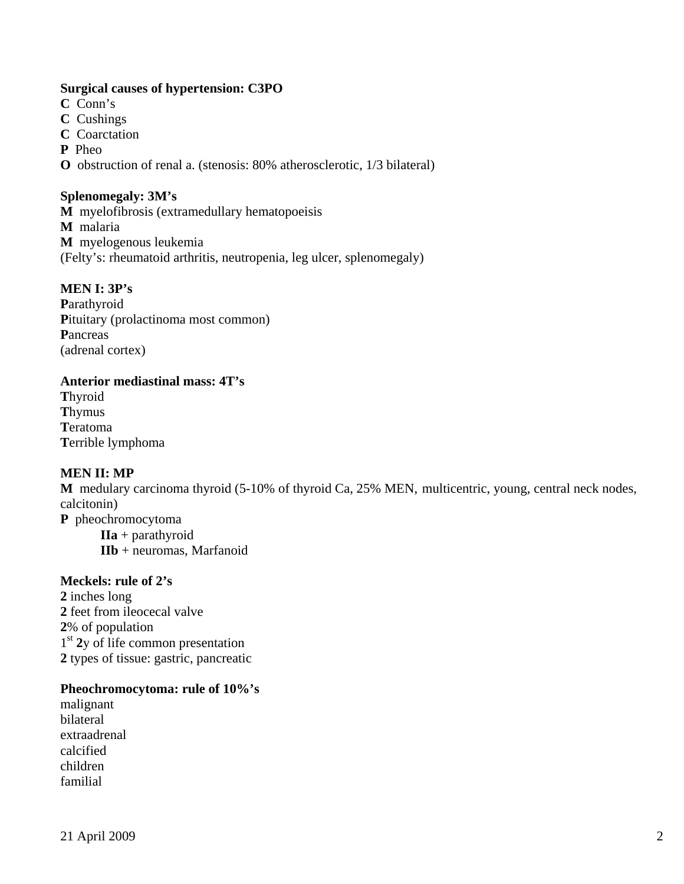## **Surgical causes of hypertension: C3PO**

- **C** Conn's
- **C** Cushings
- **C** Coarctation
- **P** Pheo

**O** obstruction of renal a. (stenosis: 80% atherosclerotic, 1/3 bilateral)

#### **Splenomegaly: 3M's**

**M** myelofibrosis (extramedullary hematopoeisis **M** malaria **M** myelogenous leukemia (Felty's: rheumatoid arthritis, neutropenia, leg ulcer, splenomegaly)

### **MEN I: 3P's**

**P**arathyroid Pituitary (prolactinoma most common) **P**ancreas (adrenal cortex)

### **Anterior mediastinal mass: 4T's**

**T**hyroid **T**hymus **T**eratoma **T**errible lymphoma

### **MEN II: MP**

**M** medulary carcinoma thyroid (5-10% of thyroid Ca, 25% MEN, multicentric, young, central neck nodes, calcitonin)

**P** pheochromocytoma **IIa** + parathyroid **IIb** + neuromas, Marfanoid

#### **Meckels: rule of 2's**

inches long feet from ileocecal valve % of population 1<sup>st</sup> **2**y of life common presentation types of tissue: gastric, pancreatic

#### **Pheochromocytoma: rule of 10%'s**

malignant bilateral extraadrenal calcified children familial